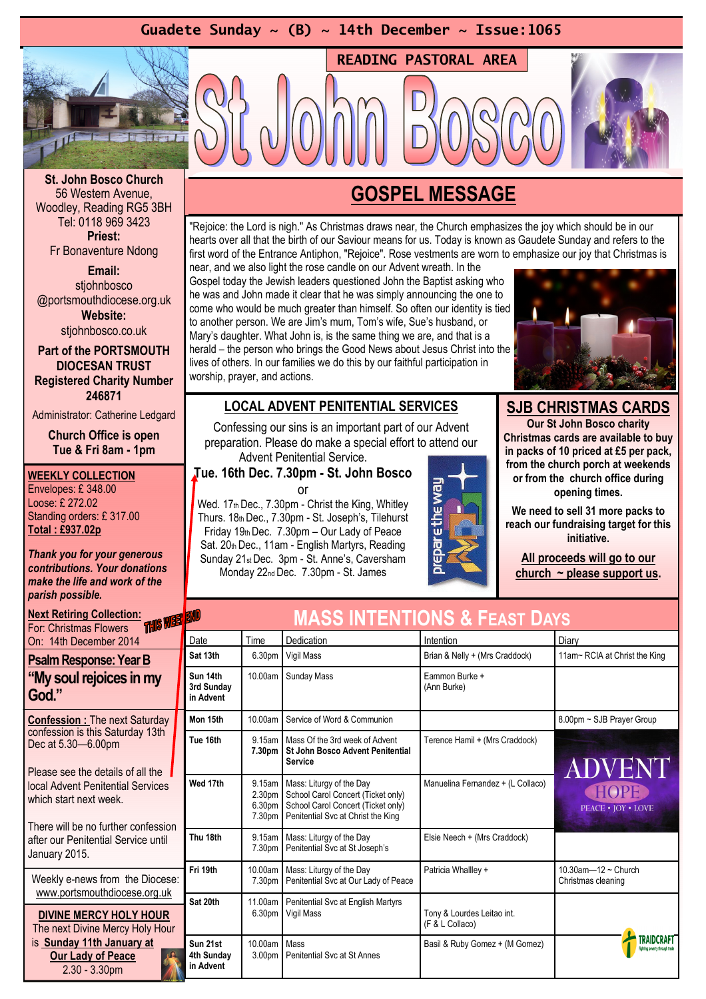## Guadete Sunday ~  $(B)$  ~ 14th December ~ Issue:1065



St. John Bosco Church 56 Western Avenue, Woodley, Reading RG5 3BH Tel: 0118 969 3423 Priest: Fr Bonaventure Ndong

Email: stiohnbosco @portsmouthdiocese.org.uk Website: stiohnbosco.co.uk

Part of the PORTSMOUTH DIOCESAN TRUST Registered Charity Number 246871

Administrator: Catherine Ledgard

Church Office is open Tue & Fri 8am - 1pm

### WEEKLY COLLECTION

Envelopes: £ 348.00 Loose: £ 272.02 Standing orders: £ 317.00 Total : £937.02p

Thank you for your generous contributions. Your donations make the life and work of the parish possible.

| THIS WEET END<br><b>Next Retiring Collection:</b><br>For: Christmas Flowers                      |  |                   |  |  |
|--------------------------------------------------------------------------------------------------|--|-------------------|--|--|
| On: 14th December 2014                                                                           |  | Da                |  |  |
| <b>Psalm Response: Year B</b>                                                                    |  | Sa                |  |  |
| "My soul rejoices in my<br>God."                                                                 |  | Su<br>3rc<br>in ı |  |  |
| <b>Confession: The next Saturday</b>                                                             |  | Mo                |  |  |
| confession is this Saturday 13th<br>Dec at 5.30-6.00pm                                           |  | Tu                |  |  |
| Please see the details of all the<br>local Advent Penitential Services<br>which start next week. |  |                   |  |  |
| There will be no further confession<br>after our Penitential Service until<br>January 2015.      |  |                   |  |  |
| Weekly e-news from the Diocese:<br>www.portsmouthdiocese.org.uk                                  |  |                   |  |  |
| <b>DIVINE MERCY HOLY HOUR</b><br>The next Divine Mercy Holy Hour                                 |  |                   |  |  |
| is Sunday 11th January at                                                                        |  |                   |  |  |

Our Lady of Peace 2.30 - 3.30pm

## GOSPEL MESSAGE

READING PASTORAL AREA

"Rejoice: the Lord is nigh." As Christmas draws near, the Church emphasizes the joy which should be in our hearts over all that the birth of our Saviour means for us. Today is known as Gaudete Sunday and refers to the first word of the Entrance Antiphon, "Rejoice". Rose vestments are worn to emphasize our joy that Christmas is

near, and we also light the rose candle on our Advent wreath. In the Gospel today the Jewish leaders questioned John the Baptist asking who he was and John made it clear that he was simply announcing the one to come who would be much greater than himself. So often our identity is tied to another person. We are Jim's mum, Tom's wife, Sue's husband, or Mary's daughter. What John is, is the same thing we are, and that is a herald – the person who brings the Good News about Jesus Christ into the lives of others. In our families we do this by our faithful participation in worship, prayer, and actions.



### LOCAL ADVENT PENITENTIAL SERVICES

Confessing our sins is an important part of our Advent preparation. Please do make a special effort to attend our Advent Penitential Service.

Tue. 16th Dec. 7.30pm - St. John Bosco or

Wed. 17th Dec., 7.30pm - Christ the King, Whitley Thurs. 18th Dec., 7.30pm - St. Joseph's, Tilehurst Friday  $19<sub>th</sub>$  Dec.  $7.30$ pm – Our Lady of Peace Sat. 20th Dec., 11am - English Martyrs, Reading Sunday 21st Dec. 3pm - St. Anne's, Caversham Monday 22nd Dec. 7.30pm - St. James



### SJB CHRISTMAS CARDS

Our St John Bosco charity Christmas cards are available to buy in packs of 10 priced at £5 per pack, from the church porch at weekends or from the church office during opening times.

We need to sell 31 more packs to reach our fundraising target for this initiative.

All proceeds will go to our church  $\sim$  please support us.

| 凮         | <b>MASS INTENTIONS &amp; FEAST DAYS</b> |                                      |                                                                                                                                            |                                               |                                                  |  |
|-----------|-----------------------------------------|--------------------------------------|--------------------------------------------------------------------------------------------------------------------------------------------|-----------------------------------------------|--------------------------------------------------|--|
|           | Date                                    | Time                                 | Dedication                                                                                                                                 | Intention                                     | Diary                                            |  |
|           | Sat 13th                                | 6.30pm                               | Vigil Mass                                                                                                                                 | Brian & Nelly + (Mrs Craddock)                | 11am~ RCIA at Christ the King                    |  |
|           | Sun 14th<br>3rd Sunday<br>in Advent     | 10.00am                              | Sunday Mass                                                                                                                                | Eammon Burke +<br>(Ann Burke)                 |                                                  |  |
|           | Mon 15th                                | 10.00am                              | Service of Word & Communion                                                                                                                |                                               | 8.00pm ~ SJB Prayer Group                        |  |
|           | Tue 16th                                | 9.15am<br>7.30pm                     | Mass Of the 3rd week of Advent<br><b>St John Bosco Advent Penitential</b><br><b>Service</b>                                                | Terence Hamil + (Mrs Craddock)                | <b>ADVENT</b>                                    |  |
| 'n<br>e:  | Wed 17th                                | 9.15am<br>2.30pm<br>6.30pm<br>7.30pm | Mass: Liturgy of the Day<br>School Carol Concert (Ticket only)<br>School Carol Concert (Ticket only)<br>Penitential Svc at Christ the King | Manuelina Fernandez + (L Collaco)             | HOPE<br><b>PEACE • JOY • LOVE</b>                |  |
|           | Thu 18th                                | 9.15am<br>7.30pm                     | Mass: Liturgy of the Day<br>Penitential Svc at St Joseph's                                                                                 | Elsie Neech + (Mrs Craddock)                  |                                                  |  |
|           | Fri 19th                                | 10.00am<br>7.30pm                    | Mass: Liturgy of the Day<br>Penitential Svc at Our Lady of Peace                                                                           | Patricia Whallley +                           | 10.30am- $-12 \sim$ Church<br>Christmas cleaning |  |
| <b>ur</b> | Sat 20th                                | 11.00am<br>6.30pm                    | Penitential Svc at English Martyrs<br><b>Vigil Mass</b>                                                                                    | Tony & Lourdes Leitao int.<br>(F & L Collaco) |                                                  |  |
| Ø.        | Sun 21st<br>4th Sunday<br>in Advent     | 10.00am<br>3.00pm                    | Mass<br>Penitential Svc at St Annes                                                                                                        | Basil & Ruby Gomez + (M Gomez)                |                                                  |  |